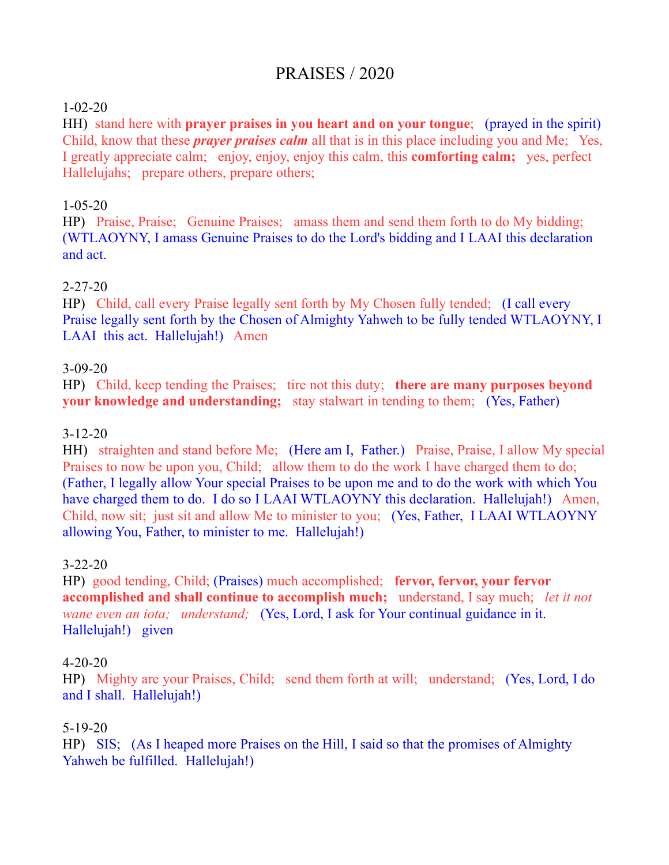# PRAISES / 2020

#### 1-02-20

HH) stand here with **prayer praises in you heart and on your tongue**; (prayed in the spirit) Child, know that these *prayer praises calm* all that is in this place including you and Me; Yes, I greatly appreciate calm; enjoy, enjoy, enjoy this calm, this **comforting calm;** yes, perfect Hallelujahs; prepare others, prepare others;

## 1-05-20

HP) Praise, Praise; Genuine Praises; amass them and send them forth to do My bidding; (WTLAOYNY, I amass Genuine Praises to do the Lord's bidding and I LAAI this declaration and act.

## 2-27-20

HP) Child, call every Praise legally sent forth by My Chosen fully tended; (I call every Praise legally sent forth by the Chosen of Almighty Yahweh to be fully tended WTLAOYNY, I LAAI this act. Hallelujah!) Amen

## 3-09-20

HP) Child, keep tending the Praises; tire not this duty; **there are many purposes beyond your knowledge and understanding;** stay stalwart in tending to them; (Yes, Father)

#### 3-12-20

HH) straighten and stand before Me; (Here am I, Father.) Praise, Praise, I allow My special Praises to now be upon you, Child; allow them to do the work I have charged them to do; (Father, I legally allow Your special Praises to be upon me and to do the work with which You have charged them to do. I do so I LAAI WTLAOYNY this declaration. Hallelujah!) Amen, Child, now sit; just sit and allow Me to minister to you; (Yes, Father, I LAAI WTLAOYNY allowing You, Father, to minister to me. Hallelujah!)

#### 3-22-20

HP) good tending, Child; (Praises) much accomplished; **fervor, fervor, your fervor accomplished and shall continue to accomplish much;** understand, I say much; *let it not wane even an iota; understand;* (Yes, Lord, I ask for Your continual guidance in it. Hallelujah!) given

#### 4-20-20

HP) Mighty are your Praises, Child; send them forth at will; understand; (Yes, Lord, I do and I shall. Hallelujah!)

#### 5-19-20

HP) SIS; (As I heaped more Praises on the Hill, I said so that the promises of Almighty Yahweh be fulfilled. Hallelujah!)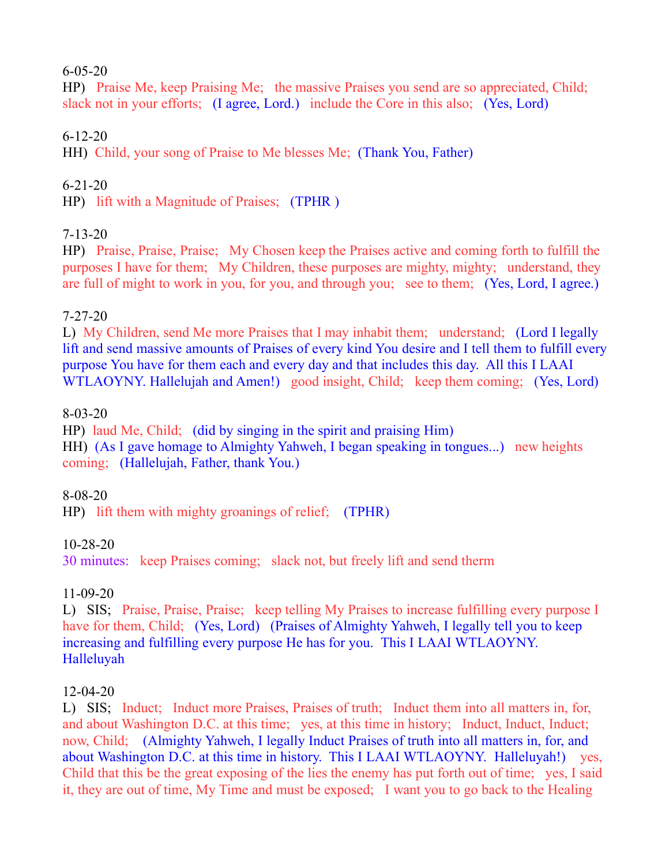#### 6-05-20

HP) Praise Me, keep Praising Me; the massive Praises you send are so appreciated, Child; slack not in your efforts; (I agree, Lord.) include the Core in this also; (Yes, Lord)

## 6-12-20

HH) Child, your song of Praise to Me blesses Me; (Thank You, Father)

## 6-21-20

HP) lift with a Magnitude of Praises; (TPHR )

## 7-13-20

HP) Praise, Praise, Praise; My Chosen keep the Praises active and coming forth to fulfill the purposes I have for them; My Children, these purposes are mighty, mighty; understand, they are full of might to work in you, for you, and through you; see to them; (Yes, Lord, I agree.)

## 7-27-20

L) My Children, send Me more Praises that I may inhabit them; understand; (Lord I legally lift and send massive amounts of Praises of every kind You desire and I tell them to fulfill every purpose You have for them each and every day and that includes this day. All this I LAAI WTLAOYNY. Hallelujah and Amen!) good insight, Child; keep them coming; (Yes, Lord)

## 8-03-20

HP) laud Me, Child; (did by singing in the spirit and praising Him) HH) (As I gave homage to Almighty Yahweh, I began speaking in tongues...) new heights coming; (Hallelujah, Father, thank You.)

## 8-08-20

HP) lift them with mighty groanings of relief; (TPHR)

## 10-28-20

30 minutes: keep Praises coming; slack not, but freely lift and send therm

## 11-09-20

L) SIS; Praise, Praise, Praise; keep telling My Praises to increase fulfilling every purpose I have for them, Child; (Yes, Lord) (Praises of Almighty Yahweh, I legally tell you to keep increasing and fulfilling every purpose He has for you. This I LAAI WTLAOYNY. Halleluyah

## 12-04-20

L) SIS; Induct; Induct more Praises, Praises of truth; Induct them into all matters in, for, and about Washington D.C. at this time; yes, at this time in history; Induct, Induct, Induct; now, Child; (Almighty Yahweh, I legally Induct Praises of truth into all matters in, for, and about Washington D.C. at this time in history. This I LAAI WTLAOYNY. Halleluyah!) yes, Child that this be the great exposing of the lies the enemy has put forth out of time; yes, I said it, they are out of time, My Time and must be exposed; I want you to go back to the Healing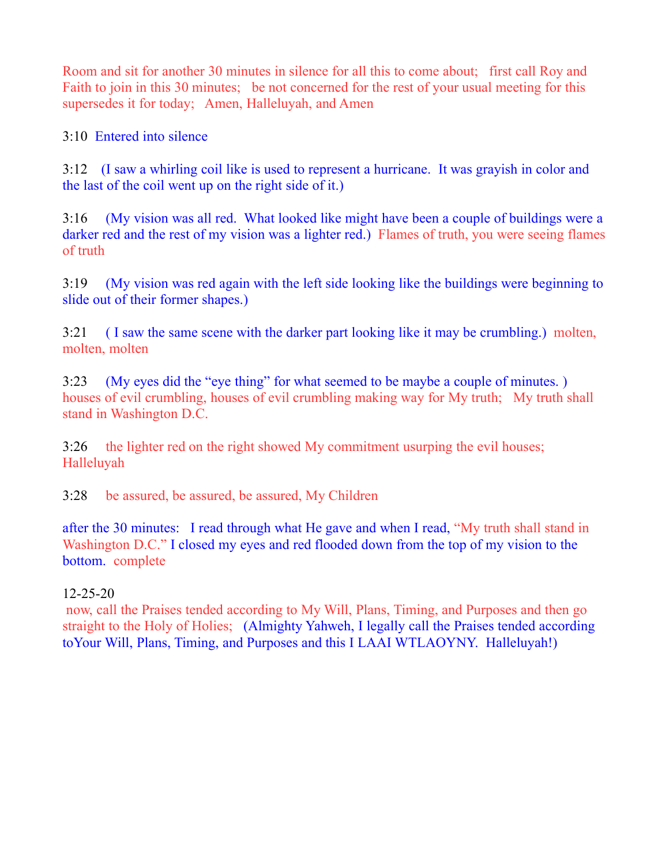Room and sit for another 30 minutes in silence for all this to come about; first call Roy and Faith to join in this 30 minutes; be not concerned for the rest of your usual meeting for this supersedes it for today; Amen, Halleluyah, and Amen

3:10 Entered into silence

3:12 (I saw a whirling coil like is used to represent a hurricane. It was grayish in color and the last of the coil went up on the right side of it.)

3:16 (My vision was all red. What looked like might have been a couple of buildings were a darker red and the rest of my vision was a lighter red.) Flames of truth, you were seeing flames of truth

3:19 (My vision was red again with the left side looking like the buildings were beginning to slide out of their former shapes.)

3:21 ( I saw the same scene with the darker part looking like it may be crumbling.) molten, molten, molten

3:23 (My eyes did the "eye thing" for what seemed to be maybe a couple of minutes. ) houses of evil crumbling, houses of evil crumbling making way for My truth; My truth shall stand in Washington D.C.

3:26 the lighter red on the right showed My commitment usurping the evil houses; Halleluyah

3:28 be assured, be assured, be assured, My Children

after the 30 minutes: I read through what He gave and when I read, "My truth shall stand in Washington D.C." I closed my eyes and red flooded down from the top of my vision to the bottom. complete

## 12-25-20

now, call the Praises tended according to My Will, Plans, Timing, and Purposes and then go straight to the Holy of Holies; (Almighty Yahweh, I legally call the Praises tended according toYour Will, Plans, Timing, and Purposes and this I LAAI WTLAOYNY. Halleluyah!)